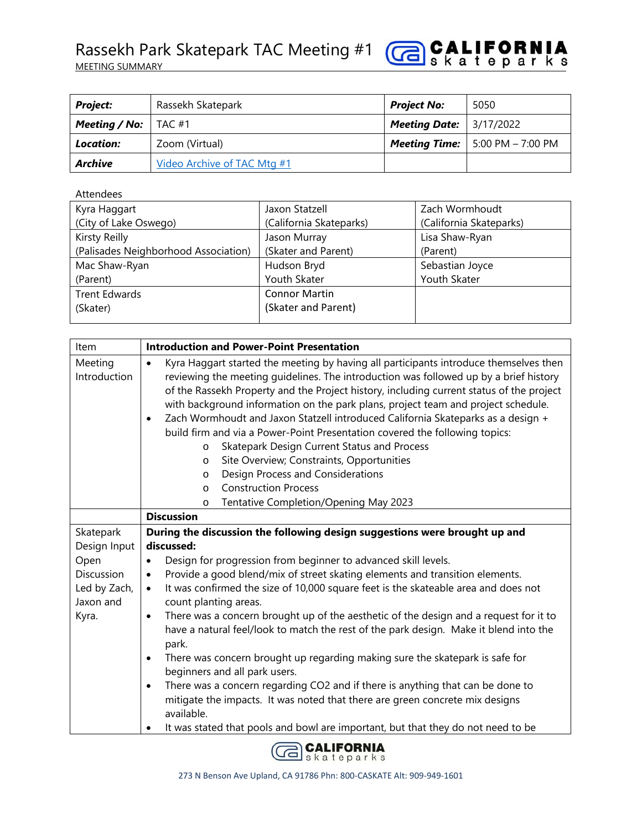

| <b>Project:</b>       | Rassekh Skatepark           | <b>Project No:</b>                 | 5050                                       |
|-----------------------|-----------------------------|------------------------------------|--------------------------------------------|
| Meeting / No: $\vert$ | TAC #1                      | <b>Meeting Date:</b>   $3/17/2022$ |                                            |
| Location:             | Zoom (Virtual)              |                                    | <b>Meeting Time:</b>   5:00 PM $-$ 7:00 PM |
| <b>Archive</b>        | Video Archive of TAC Mtg #1 |                                    |                                            |

Attendees

| Kyra Haggart                         | Jaxon Statzell          | Zach Wormhoudt          |
|--------------------------------------|-------------------------|-------------------------|
| (City of Lake Oswego)                | (California Skateparks) | (California Skateparks) |
| Kirsty Reilly                        | Jason Murray            | Lisa Shaw-Ryan          |
| (Palisades Neighborhood Association) | (Skater and Parent)     | (Parent)                |
| Mac Shaw-Ryan                        | Hudson Bryd             | Sebastian Joyce         |
| (Parent)                             | Youth Skater            | Youth Skater            |
| <b>Trent Edwards</b>                 | <b>Connor Martin</b>    |                         |
| (Skater)                             | (Skater and Parent)     |                         |
|                                      |                         |                         |

| Item                                                                                  | <b>Introduction and Power-Point Presentation</b>                                                                                                                                                                                                                                                                                                                                                                                                                                                                                                                                                                                                                                                                                                                                                                                                                                                                                                                                                                |  |
|---------------------------------------------------------------------------------------|-----------------------------------------------------------------------------------------------------------------------------------------------------------------------------------------------------------------------------------------------------------------------------------------------------------------------------------------------------------------------------------------------------------------------------------------------------------------------------------------------------------------------------------------------------------------------------------------------------------------------------------------------------------------------------------------------------------------------------------------------------------------------------------------------------------------------------------------------------------------------------------------------------------------------------------------------------------------------------------------------------------------|--|
| Meeting<br>Introduction                                                               | Kyra Haggart started the meeting by having all participants introduce themselves then<br>$\bullet$<br>reviewing the meeting guidelines. The introduction was followed up by a brief history<br>of the Rassekh Property and the Project history, including current status of the project<br>with background information on the park plans, project team and project schedule.<br>Zach Wormhoudt and Jaxon Statzell introduced California Skateparks as a design +<br>$\bullet$<br>build firm and via a Power-Point Presentation covered the following topics:<br>Skatepark Design Current Status and Process<br>$\circ$<br>Site Overview; Constraints, Opportunities<br>$\circ$<br>Design Process and Considerations<br>$\circ$<br><b>Construction Process</b><br>$\circ$<br>Tentative Completion/Opening May 2023<br>$\circ$                                                                                                                                                                                    |  |
|                                                                                       | <b>Discussion</b>                                                                                                                                                                                                                                                                                                                                                                                                                                                                                                                                                                                                                                                                                                                                                                                                                                                                                                                                                                                               |  |
| Skatepark<br>Design Input<br>Open<br>Discussion<br>Led by Zach,<br>Jaxon and<br>Kyra. | During the discussion the following design suggestions were brought up and<br>discussed:<br>Design for progression from beginner to advanced skill levels.<br>$\bullet$<br>Provide a good blend/mix of street skating elements and transition elements.<br>٠<br>It was confirmed the size of 10,000 square feet is the skateable area and does not<br>$\bullet$<br>count planting areas.<br>There was a concern brought up of the aesthetic of the design and a request for it to<br>$\bullet$<br>have a natural feel/look to match the rest of the park design. Make it blend into the<br>park.<br>There was concern brought up regarding making sure the skatepark is safe for<br>$\bullet$<br>beginners and all park users.<br>There was a concern regarding CO2 and if there is anything that can be done to<br>$\bullet$<br>mitigate the impacts. It was noted that there are green concrete mix designs<br>available.<br>It was stated that pools and bowl are important, but that they do not need to be |  |